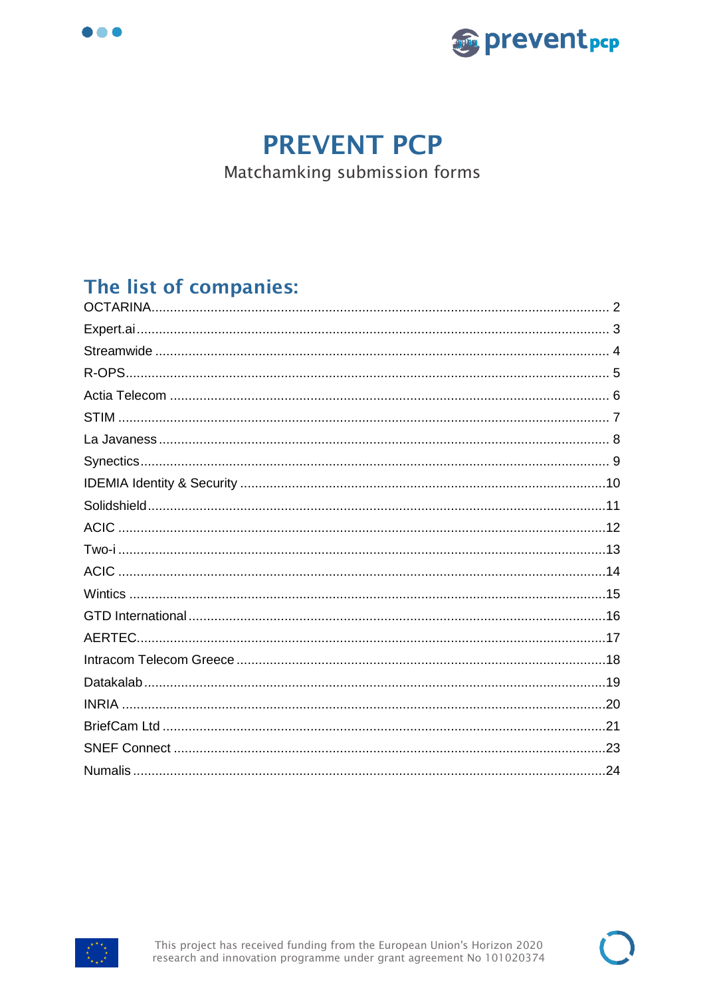



# **PREVENT PCP**

Matchamking submission forms

## The list of companies:



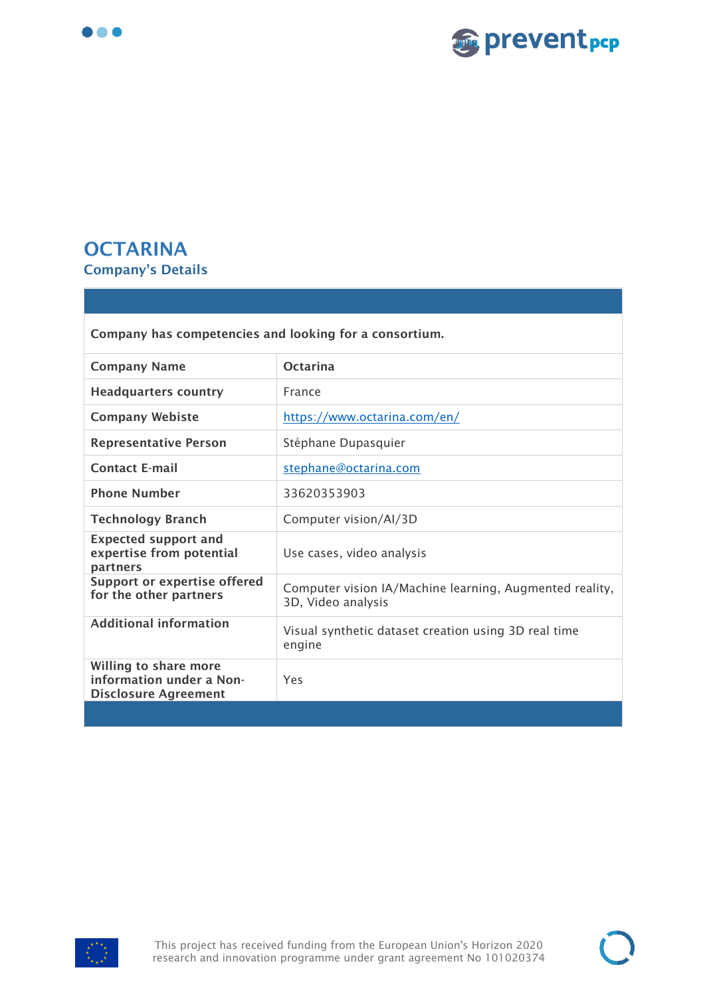



#### <span id="page-1-0"></span>**OCTARINA Company's Details**

| Company has competencies and looking for a consortium.                           |                                                                               |
|----------------------------------------------------------------------------------|-------------------------------------------------------------------------------|
| <b>Company Name</b>                                                              | <b>Octarina</b>                                                               |
| <b>Headquarters country</b>                                                      | France                                                                        |
| <b>Company Webiste</b>                                                           | https://www.octarina.com/en/                                                  |
| <b>Representative Person</b>                                                     | Stéphane Dupasquier                                                           |
| <b>Contact E-mail</b>                                                            | stephane@octarina.com                                                         |
| <b>Phone Number</b>                                                              | 33620353903                                                                   |
| <b>Technology Branch</b>                                                         | Computer vision/Al/3D                                                         |
| <b>Expected support and</b><br>expertise from potential<br>partners              | Use cases, video analysis                                                     |
| <b>Support or expertise offered</b><br>for the other partners                    | Computer vision IA/Machine learning, Augmented reality,<br>3D, Video analysis |
| <b>Additional information</b>                                                    | Visual synthetic dataset creation using 3D real time<br>engine                |
| Willing to share more<br>information under a Non-<br><b>Disclosure Agreement</b> | Yes                                                                           |
|                                                                                  |                                                                               |

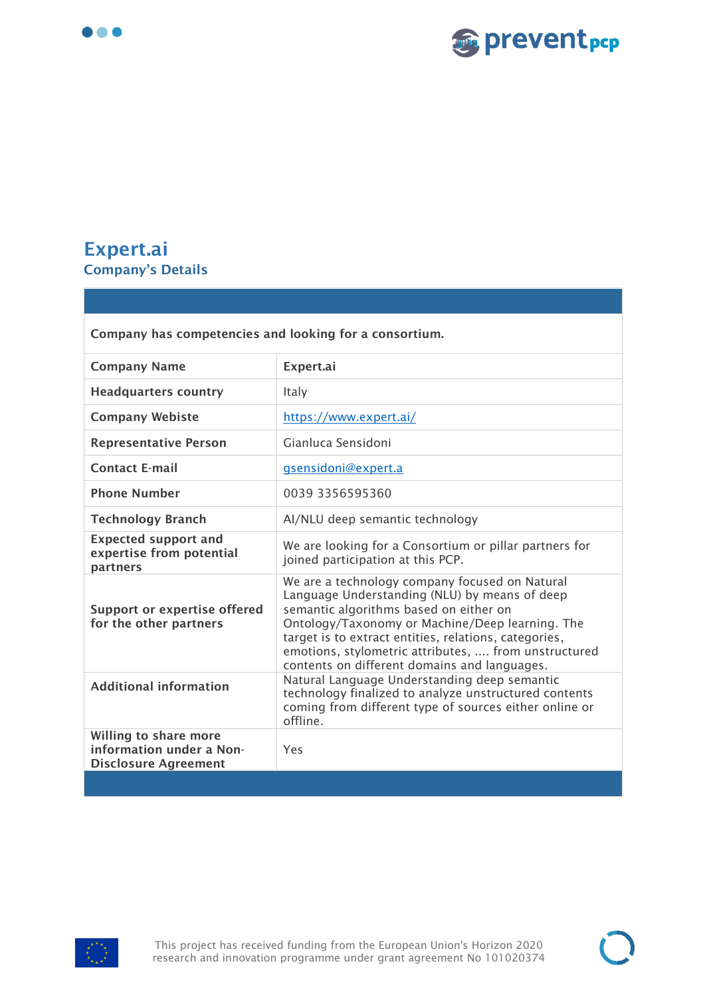



## <span id="page-2-0"></span>**Expert.ai Company's Details**

| Company has competencies and looking for a consortium.                           |                                                                                                                                                                                                                                                                                                                                                               |
|----------------------------------------------------------------------------------|---------------------------------------------------------------------------------------------------------------------------------------------------------------------------------------------------------------------------------------------------------------------------------------------------------------------------------------------------------------|
| <b>Company Name</b>                                                              | Expert.ai                                                                                                                                                                                                                                                                                                                                                     |
| <b>Headquarters country</b>                                                      | Italy                                                                                                                                                                                                                                                                                                                                                         |
| <b>Company Webiste</b>                                                           | https://www.expert.ai/                                                                                                                                                                                                                                                                                                                                        |
| <b>Representative Person</b>                                                     | Gianluca Sensidoni                                                                                                                                                                                                                                                                                                                                            |
| <b>Contact E-mail</b>                                                            | gsensidoni@expert.a                                                                                                                                                                                                                                                                                                                                           |
| <b>Phone Number</b>                                                              | 0039 3356595360                                                                                                                                                                                                                                                                                                                                               |
| <b>Technology Branch</b>                                                         | AI/NLU deep semantic technology                                                                                                                                                                                                                                                                                                                               |
| <b>Expected support and</b><br>expertise from potential<br>partners              | We are looking for a Consortium or pillar partners for<br>joined participation at this PCP.                                                                                                                                                                                                                                                                   |
| <b>Support or expertise offered</b><br>for the other partners                    | We are a technology company focused on Natural<br>Language Understanding (NLU) by means of deep<br>semantic algorithms based on either on<br>Ontology/Taxonomy or Machine/Deep learning. The<br>target is to extract entities, relations, categories,<br>emotions, stylometric attributes,  from unstructured<br>contents on different domains and languages. |
| <b>Additional information</b>                                                    | Natural Language Understanding deep semantic<br>technology finalized to analyze unstructured contents<br>coming from different type of sources either online or<br>offline.                                                                                                                                                                                   |
| Willing to share more<br>information under a Non-<br><b>Disclosure Agreement</b> | Yes                                                                                                                                                                                                                                                                                                                                                           |
|                                                                                  |                                                                                                                                                                                                                                                                                                                                                               |

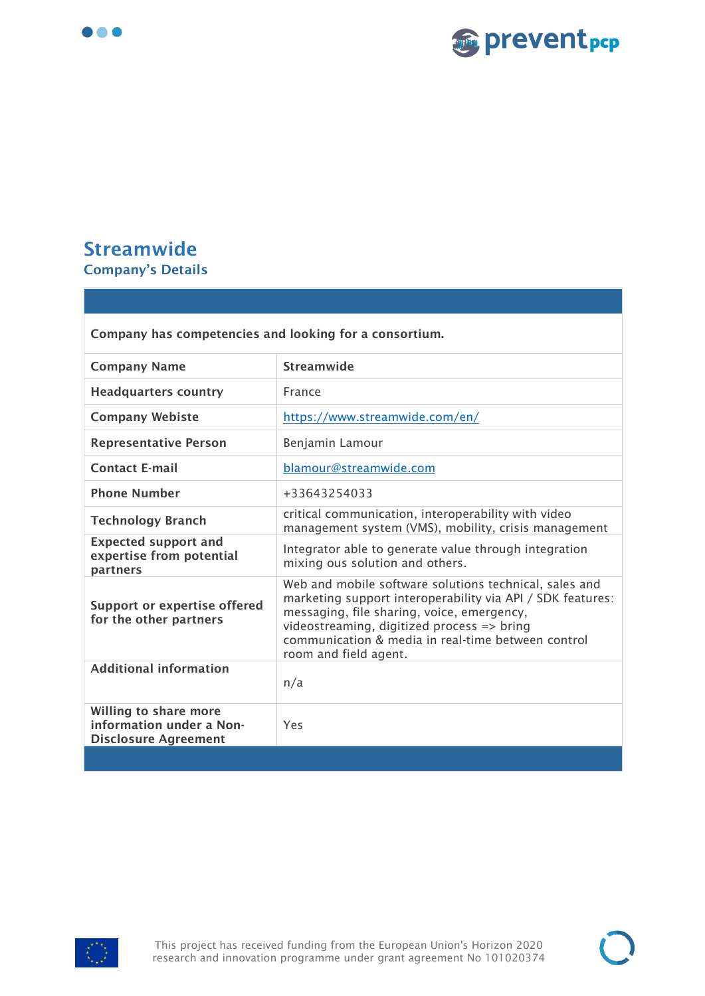



## <span id="page-3-0"></span>**Streamwide Company's Details**

| Company has competencies and looking for a consortium.                           |                                                                                                                                                                                                                                                                                                 |
|----------------------------------------------------------------------------------|-------------------------------------------------------------------------------------------------------------------------------------------------------------------------------------------------------------------------------------------------------------------------------------------------|
| <b>Company Name</b>                                                              | Streamwide                                                                                                                                                                                                                                                                                      |
| <b>Headquarters country</b>                                                      | France                                                                                                                                                                                                                                                                                          |
| <b>Company Webiste</b>                                                           | https://www.streamwide.com/en/                                                                                                                                                                                                                                                                  |
| <b>Representative Person</b>                                                     | Benjamin Lamour                                                                                                                                                                                                                                                                                 |
| <b>Contact E-mail</b>                                                            | blamour@streamwide.com                                                                                                                                                                                                                                                                          |
| <b>Phone Number</b>                                                              | +33643254033                                                                                                                                                                                                                                                                                    |
| <b>Technology Branch</b>                                                         | critical communication, interoperability with video<br>management system (VMS), mobility, crisis management                                                                                                                                                                                     |
| <b>Expected support and</b><br>expertise from potential<br>partners              | Integrator able to generate value through integration<br>mixing ous solution and others.                                                                                                                                                                                                        |
| <b>Support or expertise offered</b><br>for the other partners                    | Web and mobile software solutions technical, sales and<br>marketing support interoperability via API / SDK features:<br>messaging, file sharing, voice, emergency,<br>videostreaming, digitized process => bring<br>communication & media in real-time between control<br>room and field agent. |
| <b>Additional information</b>                                                    | n/a                                                                                                                                                                                                                                                                                             |
| Willing to share more<br>information under a Non-<br><b>Disclosure Agreement</b> | Yes                                                                                                                                                                                                                                                                                             |
|                                                                                  |                                                                                                                                                                                                                                                                                                 |

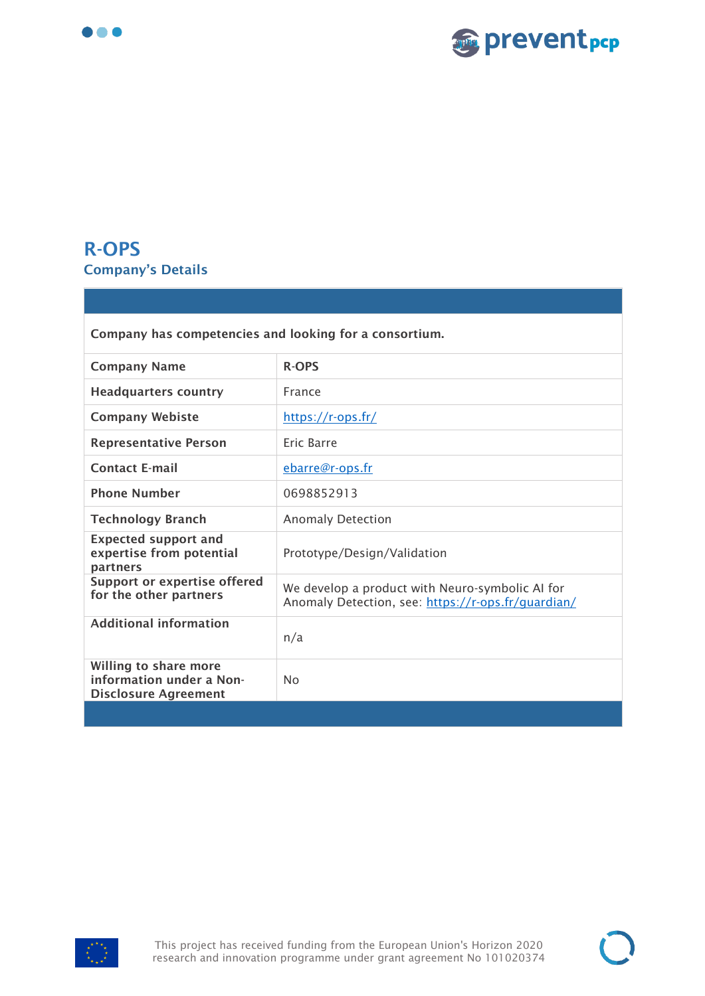



## <span id="page-4-0"></span>**R-OPS Company's Details**

| Company has competencies and looking for a consortium.                           |                                                                                                       |
|----------------------------------------------------------------------------------|-------------------------------------------------------------------------------------------------------|
| <b>Company Name</b>                                                              | <b>R-OPS</b>                                                                                          |
| <b>Headquarters country</b>                                                      | France                                                                                                |
| <b>Company Webiste</b>                                                           | https://r-ops.fr/                                                                                     |
| <b>Representative Person</b>                                                     | Eric Barre                                                                                            |
| <b>Contact E-mail</b>                                                            | ebarre@r-ops.fr                                                                                       |
| <b>Phone Number</b>                                                              | 0698852913                                                                                            |
| <b>Technology Branch</b>                                                         | <b>Anomaly Detection</b>                                                                              |
| <b>Expected support and</b><br>expertise from potential<br>partners              | Prototype/Design/Validation                                                                           |
| <b>Support or expertise offered</b><br>for the other partners                    | We develop a product with Neuro-symbolic AI for<br>Anomaly Detection, see: https://r-ops.fr/quardian/ |
| <b>Additional information</b>                                                    | n/a                                                                                                   |
| Willing to share more<br>information under a Non-<br><b>Disclosure Agreement</b> | N <sub>0</sub>                                                                                        |
|                                                                                  |                                                                                                       |

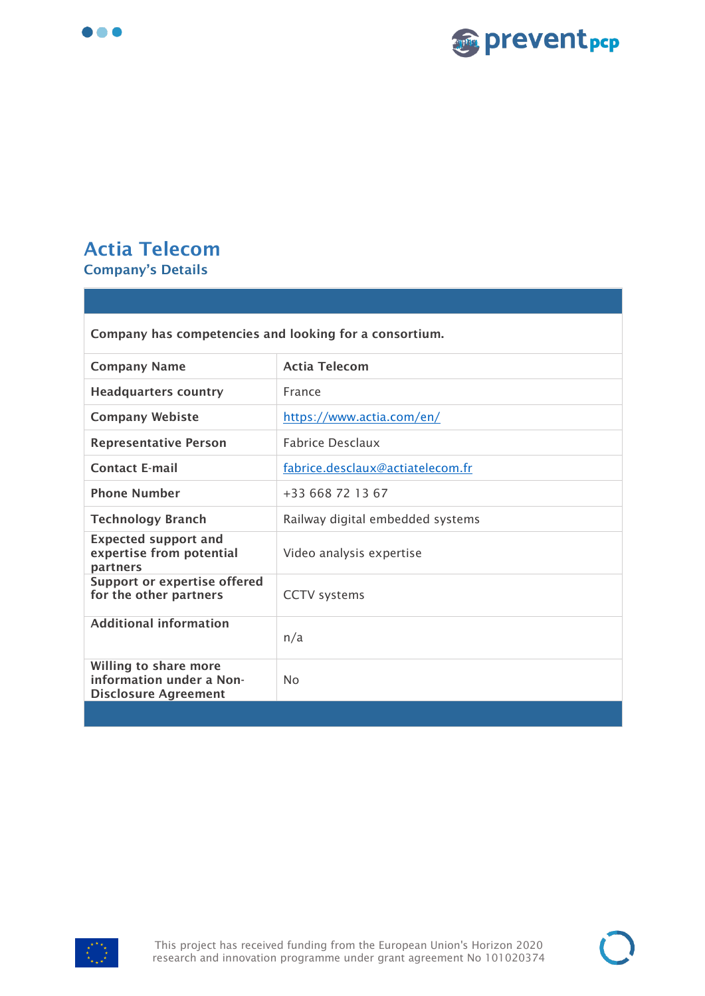



## <span id="page-5-0"></span>**Actia Telecom Company's Details**

| Company has competencies and looking for a consortium.                           |                                  |
|----------------------------------------------------------------------------------|----------------------------------|
| <b>Company Name</b>                                                              | <b>Actia Telecom</b>             |
| <b>Headquarters country</b>                                                      | France                           |
| <b>Company Webiste</b>                                                           | https://www.actia.com/en/        |
| <b>Representative Person</b>                                                     | <b>Fabrice Desclaux</b>          |
| <b>Contact E-mail</b>                                                            | fabrice.desclaux@actiatelecom.fr |
| <b>Phone Number</b>                                                              | +33 668 72 13 67                 |
| <b>Technology Branch</b>                                                         | Railway digital embedded systems |
| <b>Expected support and</b><br>expertise from potential<br>partners              | Video analysis expertise         |
| <b>Support or expertise offered</b><br>for the other partners                    | <b>CCTV</b> systems              |
| <b>Additional information</b>                                                    | n/a                              |
| Willing to share more<br>information under a Non-<br><b>Disclosure Agreement</b> | No                               |
|                                                                                  |                                  |

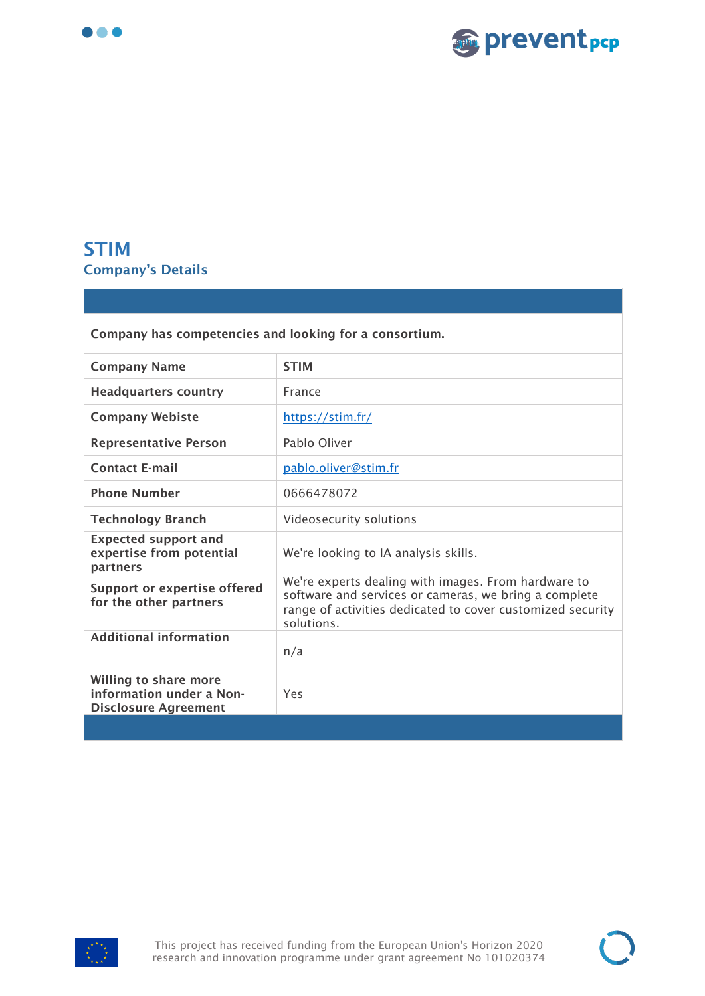



#### <span id="page-6-0"></span>**STIM Company's Details**

| Company has competencies and looking for a consortium.                           |                                                                                                                                                                                          |
|----------------------------------------------------------------------------------|------------------------------------------------------------------------------------------------------------------------------------------------------------------------------------------|
| <b>Company Name</b>                                                              | <b>STIM</b>                                                                                                                                                                              |
| <b>Headquarters country</b>                                                      | France                                                                                                                                                                                   |
| <b>Company Webiste</b>                                                           | https://stim.fr/                                                                                                                                                                         |
| <b>Representative Person</b>                                                     | Pablo Oliver                                                                                                                                                                             |
| <b>Contact E-mail</b>                                                            | pablo.oliver@stim.fr                                                                                                                                                                     |
| <b>Phone Number</b>                                                              | 0666478072                                                                                                                                                                               |
| <b>Technology Branch</b>                                                         | Videosecurity solutions                                                                                                                                                                  |
| <b>Expected support and</b><br>expertise from potential<br>partners              | We're looking to IA analysis skills.                                                                                                                                                     |
| <b>Support or expertise offered</b><br>for the other partners                    | We're experts dealing with images. From hardware to<br>software and services or cameras, we bring a complete<br>range of activities dedicated to cover customized security<br>solutions. |
| <b>Additional information</b>                                                    | n/a                                                                                                                                                                                      |
| Willing to share more<br>information under a Non-<br><b>Disclosure Agreement</b> | Yes                                                                                                                                                                                      |
|                                                                                  |                                                                                                                                                                                          |

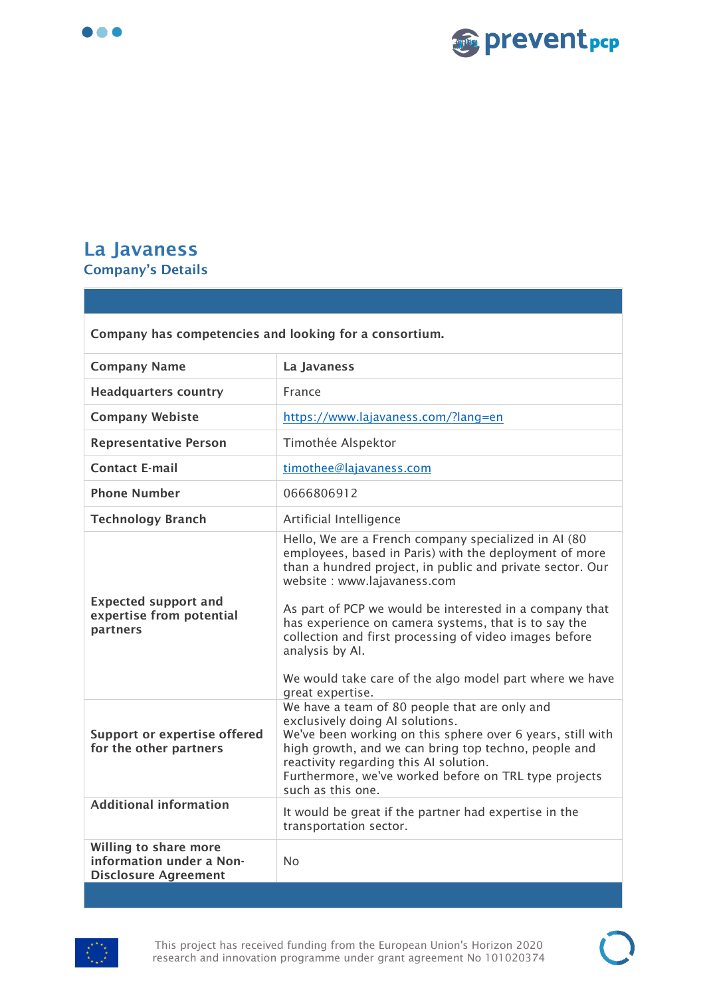



#### <span id="page-7-0"></span>**La Javaness Company's Details**

| Company has competencies and looking for a consortium.                           |                                                                                                                                                                                                                                                                                                                                                                                                                                                                                            |
|----------------------------------------------------------------------------------|--------------------------------------------------------------------------------------------------------------------------------------------------------------------------------------------------------------------------------------------------------------------------------------------------------------------------------------------------------------------------------------------------------------------------------------------------------------------------------------------|
| <b>Company Name</b>                                                              | La Javaness                                                                                                                                                                                                                                                                                                                                                                                                                                                                                |
| <b>Headquarters country</b>                                                      | France                                                                                                                                                                                                                                                                                                                                                                                                                                                                                     |
| <b>Company Webiste</b>                                                           | https://www.lajavaness.com/?lang=en                                                                                                                                                                                                                                                                                                                                                                                                                                                        |
| <b>Representative Person</b>                                                     | Timothée Alspektor                                                                                                                                                                                                                                                                                                                                                                                                                                                                         |
| <b>Contact E-mail</b>                                                            | timothee@lajavaness.com                                                                                                                                                                                                                                                                                                                                                                                                                                                                    |
| <b>Phone Number</b>                                                              | 0666806912                                                                                                                                                                                                                                                                                                                                                                                                                                                                                 |
| <b>Technology Branch</b>                                                         | Artificial Intelligence                                                                                                                                                                                                                                                                                                                                                                                                                                                                    |
| <b>Expected support and</b><br>expertise from potential<br>partners              | Hello, We are a French company specialized in AI (80<br>employees, based in Paris) with the deployment of more<br>than a hundred project, in public and private sector. Our<br>website : www.lajavaness.com<br>As part of PCP we would be interested in a company that<br>has experience on camera systems, that is to say the<br>collection and first processing of video images before<br>analysis by Al.<br>We would take care of the algo model part where we have<br>great expertise. |
| <b>Support or expertise offered</b><br>for the other partners                    | We have a team of 80 people that are only and<br>exclusively doing AI solutions.<br>We've been working on this sphere over 6 years, still with<br>high growth, and we can bring top techno, people and<br>reactivity regarding this AI solution.<br>Furthermore, we've worked before on TRL type projects<br>such as this one.                                                                                                                                                             |
| <b>Additional information</b>                                                    | It would be great if the partner had expertise in the<br>transportation sector.                                                                                                                                                                                                                                                                                                                                                                                                            |
| Willing to share more<br>information under a Non-<br><b>Disclosure Agreement</b> | <b>No</b>                                                                                                                                                                                                                                                                                                                                                                                                                                                                                  |



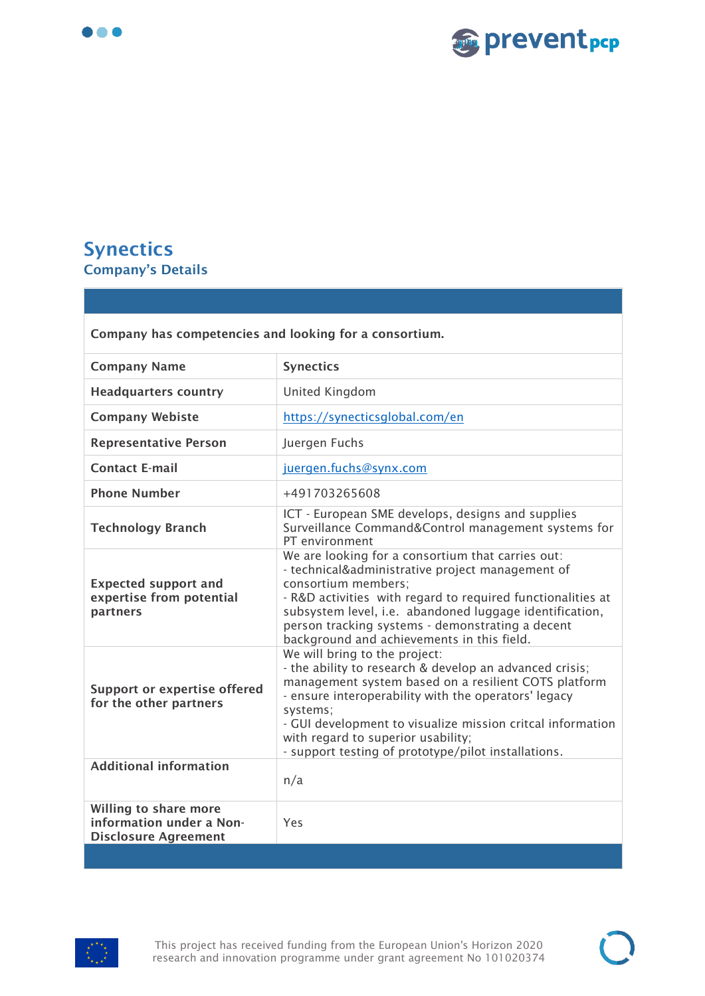



#### <span id="page-8-0"></span>**Synectics Company's Details**

| Company has competencies and looking for a consortium.                           |                                                                                                                                                                                                                                                                                                                                                                                 |
|----------------------------------------------------------------------------------|---------------------------------------------------------------------------------------------------------------------------------------------------------------------------------------------------------------------------------------------------------------------------------------------------------------------------------------------------------------------------------|
| <b>Company Name</b>                                                              | <b>Synectics</b>                                                                                                                                                                                                                                                                                                                                                                |
| <b>Headquarters country</b>                                                      | United Kingdom                                                                                                                                                                                                                                                                                                                                                                  |
| <b>Company Webiste</b>                                                           | https://synecticsglobal.com/en                                                                                                                                                                                                                                                                                                                                                  |
| <b>Representative Person</b>                                                     | Juergen Fuchs                                                                                                                                                                                                                                                                                                                                                                   |
| <b>Contact E-mail</b>                                                            | juergen.fuchs@synx.com                                                                                                                                                                                                                                                                                                                                                          |
| <b>Phone Number</b>                                                              | +491703265608                                                                                                                                                                                                                                                                                                                                                                   |
| <b>Technology Branch</b>                                                         | ICT - European SME develops, designs and supplies<br>Surveillance Command&Control management systems for<br>PT environment                                                                                                                                                                                                                                                      |
| <b>Expected support and</b><br>expertise from potential<br>partners              | We are looking for a consortium that carries out:<br>- technical&administrative project management of<br>consortium members:<br>- R&D activities with regard to required functionalities at<br>subsystem level, i.e. abandoned luggage identification,<br>person tracking systems - demonstrating a decent<br>background and achievements in this field.                        |
| <b>Support or expertise offered</b><br>for the other partners                    | We will bring to the project:<br>- the ability to research & develop an advanced crisis;<br>management system based on a resilient COTS platform<br>- ensure interoperability with the operators' legacy<br>systems;<br>- GUI development to visualize mission critcal information<br>with regard to superior usability;<br>- support testing of prototype/pilot installations. |
| <b>Additional information</b>                                                    | n/a                                                                                                                                                                                                                                                                                                                                                                             |
| Willing to share more<br>information under a Non-<br><b>Disclosure Agreement</b> | Yes                                                                                                                                                                                                                                                                                                                                                                             |
|                                                                                  |                                                                                                                                                                                                                                                                                                                                                                                 |

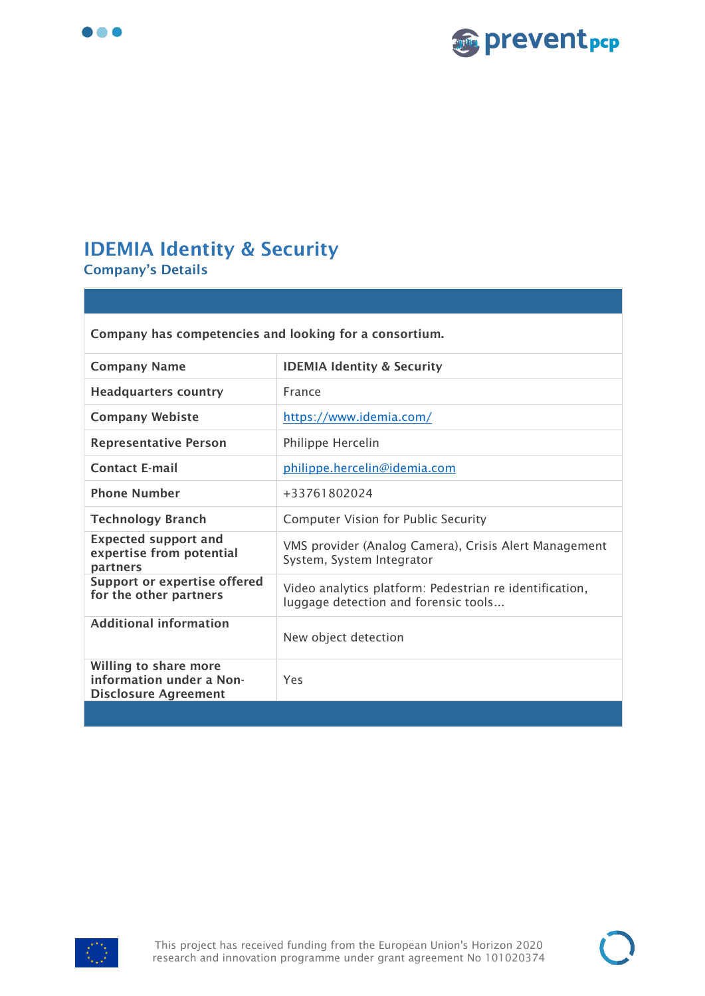



## <span id="page-9-0"></span>**IDEMIA Identity & Security**

**Company's Details** 

| Company has competencies and looking for a consortium.                                  |                                                                                                 |
|-----------------------------------------------------------------------------------------|-------------------------------------------------------------------------------------------------|
| <b>Company Name</b>                                                                     | <b>IDEMIA Identity &amp; Security</b>                                                           |
| <b>Headquarters country</b>                                                             | France                                                                                          |
| <b>Company Webiste</b>                                                                  | https://www.idemia.com/                                                                         |
| <b>Representative Person</b>                                                            | Philippe Hercelin                                                                               |
| <b>Contact E-mail</b>                                                                   | philippe.hercelin@idemia.com                                                                    |
| <b>Phone Number</b>                                                                     | +33761802024                                                                                    |
| <b>Technology Branch</b>                                                                | <b>Computer Vision for Public Security</b>                                                      |
| <b>Expected support and</b><br>expertise from potential<br>partners                     | VMS provider (Analog Camera), Crisis Alert Management<br>System, System Integrator              |
| <b>Support or expertise offered</b><br>for the other partners                           | Video analytics platform: Pedestrian re identification,<br>luggage detection and forensic tools |
| <b>Additional information</b>                                                           | New object detection                                                                            |
| <b>Willing to share more</b><br>information under a Non-<br><b>Disclosure Agreement</b> | Yes                                                                                             |
|                                                                                         |                                                                                                 |

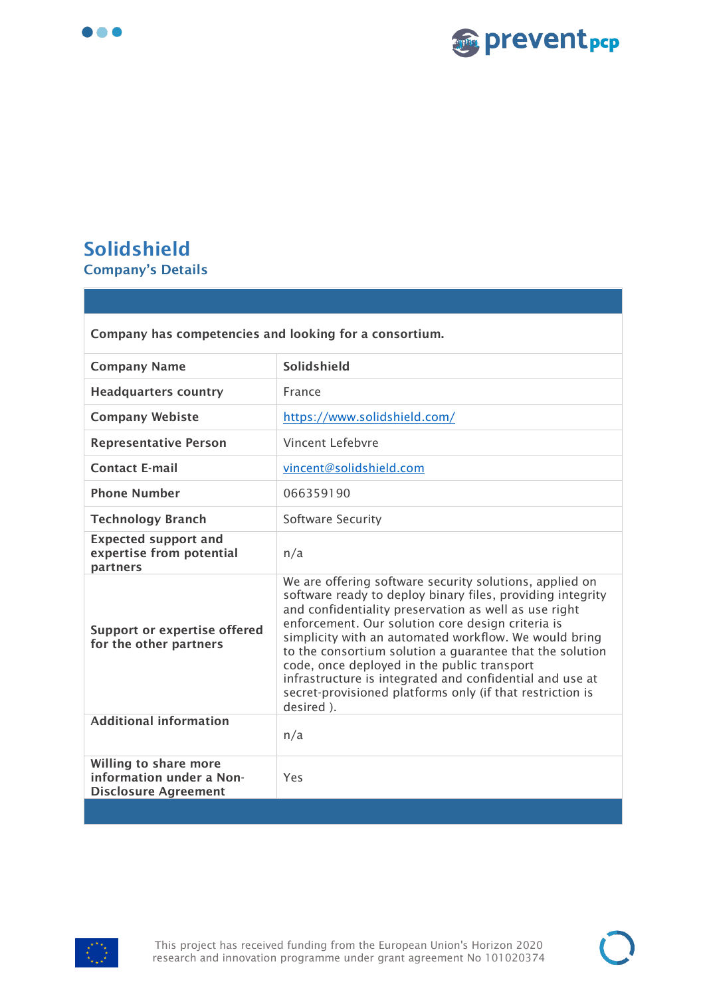



## <span id="page-10-0"></span>**Solidshield Company's Details**

| Company has competencies and looking for a consortium.                           |                                                                                                                                                                                                                                                                                                                                                                                                                                                                                                                                               |
|----------------------------------------------------------------------------------|-----------------------------------------------------------------------------------------------------------------------------------------------------------------------------------------------------------------------------------------------------------------------------------------------------------------------------------------------------------------------------------------------------------------------------------------------------------------------------------------------------------------------------------------------|
| <b>Company Name</b>                                                              | Solidshield                                                                                                                                                                                                                                                                                                                                                                                                                                                                                                                                   |
| <b>Headquarters country</b>                                                      | France                                                                                                                                                                                                                                                                                                                                                                                                                                                                                                                                        |
| <b>Company Webiste</b>                                                           | https://www.solidshield.com/                                                                                                                                                                                                                                                                                                                                                                                                                                                                                                                  |
| <b>Representative Person</b>                                                     | Vincent Lefebvre                                                                                                                                                                                                                                                                                                                                                                                                                                                                                                                              |
| <b>Contact E-mail</b>                                                            | vincent@solidshield.com                                                                                                                                                                                                                                                                                                                                                                                                                                                                                                                       |
| <b>Phone Number</b>                                                              | 066359190                                                                                                                                                                                                                                                                                                                                                                                                                                                                                                                                     |
| <b>Technology Branch</b>                                                         | Software Security                                                                                                                                                                                                                                                                                                                                                                                                                                                                                                                             |
| <b>Expected support and</b><br>expertise from potential<br>partners              | n/a                                                                                                                                                                                                                                                                                                                                                                                                                                                                                                                                           |
| <b>Support or expertise offered</b><br>for the other partners                    | We are offering software security solutions, applied on<br>software ready to deploy binary files, providing integrity<br>and confidentiality preservation as well as use right<br>enforcement. Our solution core design criteria is<br>simplicity with an automated workflow. We would bring<br>to the consortium solution a quarantee that the solution<br>code, once deployed in the public transport<br>infrastructure is integrated and confidential and use at<br>secret-provisioned platforms only (if that restriction is<br>desired). |
| <b>Additional information</b>                                                    | n/a                                                                                                                                                                                                                                                                                                                                                                                                                                                                                                                                           |
| Willing to share more<br>information under a Non-<br><b>Disclosure Agreement</b> | Yes                                                                                                                                                                                                                                                                                                                                                                                                                                                                                                                                           |
|                                                                                  |                                                                                                                                                                                                                                                                                                                                                                                                                                                                                                                                               |

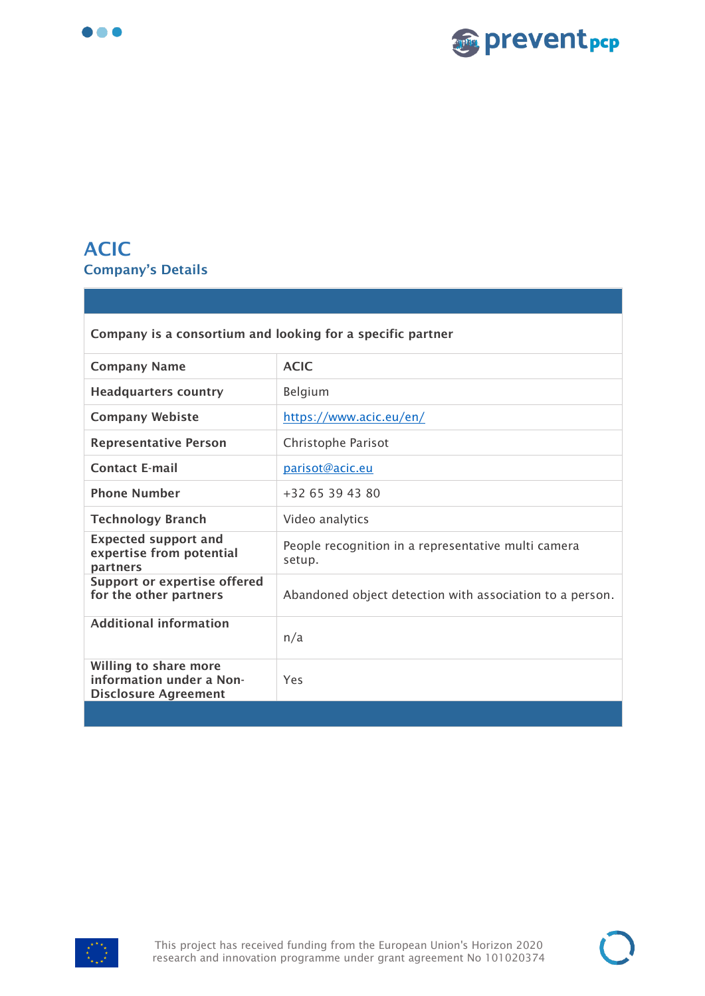



## <span id="page-11-0"></span>**ACIC Company's Details**

| Company is a consortium and looking for a specific partner                       |                                                               |
|----------------------------------------------------------------------------------|---------------------------------------------------------------|
| <b>Company Name</b>                                                              | <b>ACIC</b>                                                   |
| <b>Headquarters country</b>                                                      | Belgium                                                       |
| <b>Company Webiste</b>                                                           | https://www.acic.eu/en/                                       |
| <b>Representative Person</b>                                                     | Christophe Parisot                                            |
| <b>Contact E-mail</b>                                                            | parisot@acic.eu                                               |
| <b>Phone Number</b>                                                              | +32 65 39 43 80                                               |
| <b>Technology Branch</b>                                                         | Video analytics                                               |
| <b>Expected support and</b><br>expertise from potential<br>partners              | People recognition in a representative multi camera<br>setup. |
| Support or expertise offered<br>for the other partners                           | Abandoned object detection with association to a person.      |
| <b>Additional information</b>                                                    | n/a                                                           |
| Willing to share more<br>information under a Non-<br><b>Disclosure Agreement</b> | Yes                                                           |
|                                                                                  |                                                               |

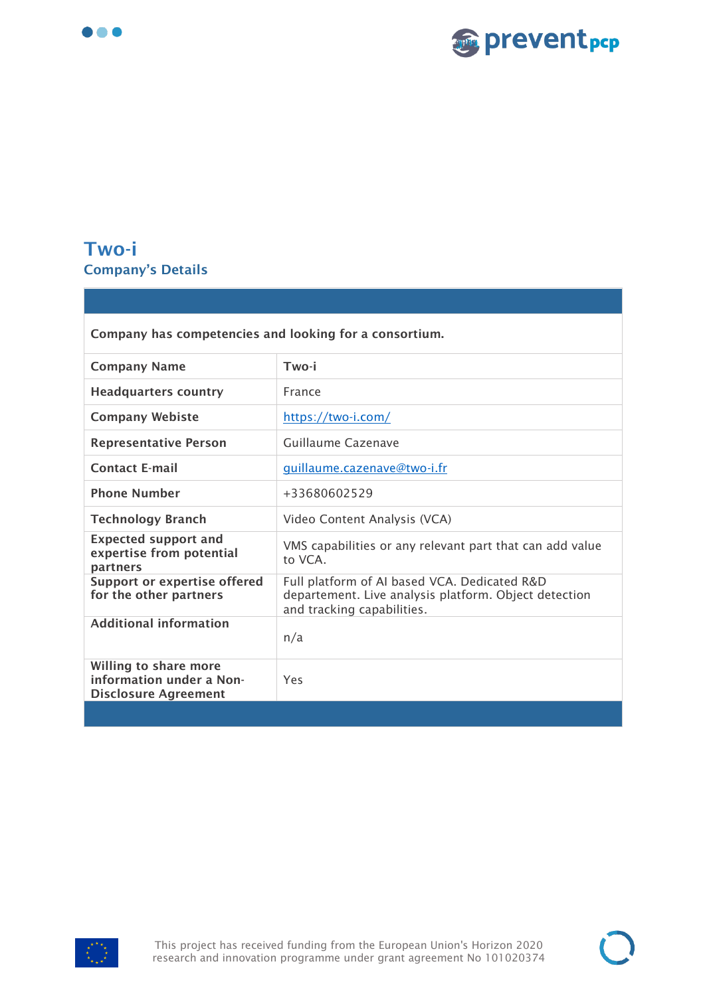



## <span id="page-12-0"></span>**Two-i Company's Details**

| Company has competencies and looking for a consortium.                           |                                                                                                                                     |
|----------------------------------------------------------------------------------|-------------------------------------------------------------------------------------------------------------------------------------|
| <b>Company Name</b>                                                              | Two-i                                                                                                                               |
| <b>Headquarters country</b>                                                      | France                                                                                                                              |
| <b>Company Webiste</b>                                                           | https://two-i.com/                                                                                                                  |
| <b>Representative Person</b>                                                     | Guillaume Cazenave                                                                                                                  |
| <b>Contact E-mail</b>                                                            | quillaume.cazenave@two-i.fr                                                                                                         |
| <b>Phone Number</b>                                                              | +33680602529                                                                                                                        |
| <b>Technology Branch</b>                                                         | Video Content Analysis (VCA)                                                                                                        |
| <b>Expected support and</b><br>expertise from potential<br>partners              | VMS capabilities or any relevant part that can add value<br>to VCA                                                                  |
| <b>Support or expertise offered</b><br>for the other partners                    | Full platform of AI based VCA. Dedicated R&D<br>departement. Live analysis platform. Object detection<br>and tracking capabilities. |
| <b>Additional information</b>                                                    | n/a                                                                                                                                 |
| Willing to share more<br>information under a Non-<br><b>Disclosure Agreement</b> | Yes                                                                                                                                 |
|                                                                                  |                                                                                                                                     |

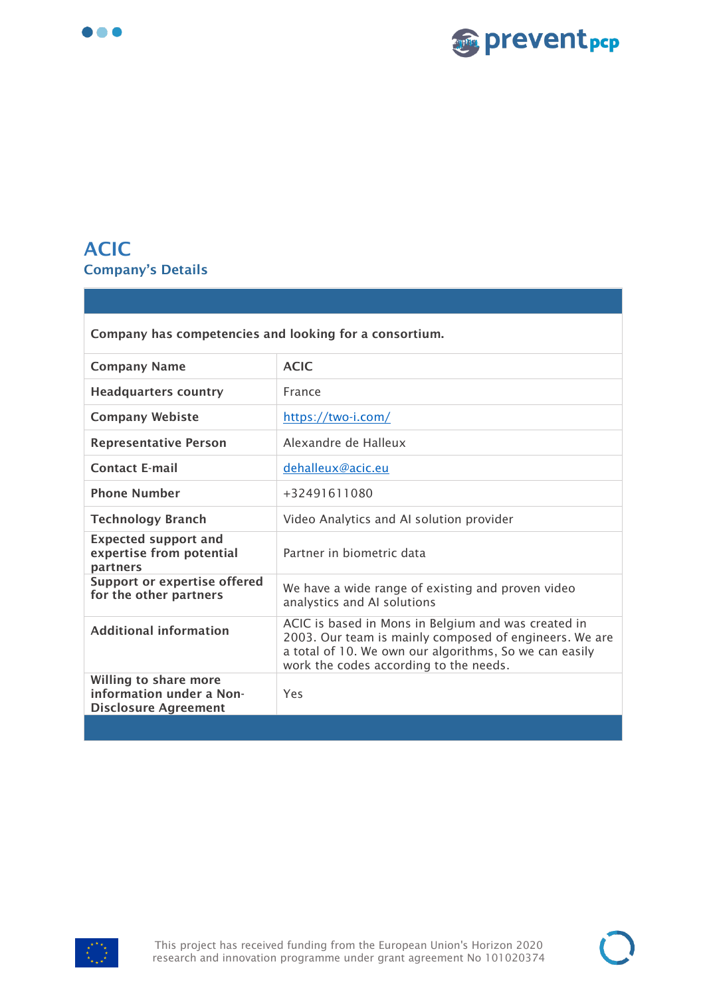



#### <span id="page-13-0"></span>**ACIC Company's Details**

| Company has competencies and looking for a consortium.                           |                                                                                                                                                                                                                   |
|----------------------------------------------------------------------------------|-------------------------------------------------------------------------------------------------------------------------------------------------------------------------------------------------------------------|
| <b>Company Name</b>                                                              | <b>ACIC</b>                                                                                                                                                                                                       |
| <b>Headquarters country</b>                                                      | France                                                                                                                                                                                                            |
| <b>Company Webiste</b>                                                           | https://two-i.com/                                                                                                                                                                                                |
| <b>Representative Person</b>                                                     | Alexandre de Halleux                                                                                                                                                                                              |
| <b>Contact E-mail</b>                                                            | dehalleux@acic.eu                                                                                                                                                                                                 |
| <b>Phone Number</b>                                                              | +32491611080                                                                                                                                                                                                      |
| <b>Technology Branch</b>                                                         | Video Analytics and AI solution provider                                                                                                                                                                          |
| <b>Expected support and</b><br>expertise from potential<br>partners              | Partner in biometric data                                                                                                                                                                                         |
| <b>Support or expertise offered</b><br>for the other partners                    | We have a wide range of existing and proven video<br>analystics and AI solutions                                                                                                                                  |
| <b>Additional information</b>                                                    | ACIC is based in Mons in Belgium and was created in<br>2003. Our team is mainly composed of engineers. We are<br>a total of 10. We own our algorithms, So we can easily<br>work the codes according to the needs. |
| Willing to share more<br>information under a Non-<br><b>Disclosure Agreement</b> | Yes                                                                                                                                                                                                               |
|                                                                                  |                                                                                                                                                                                                                   |

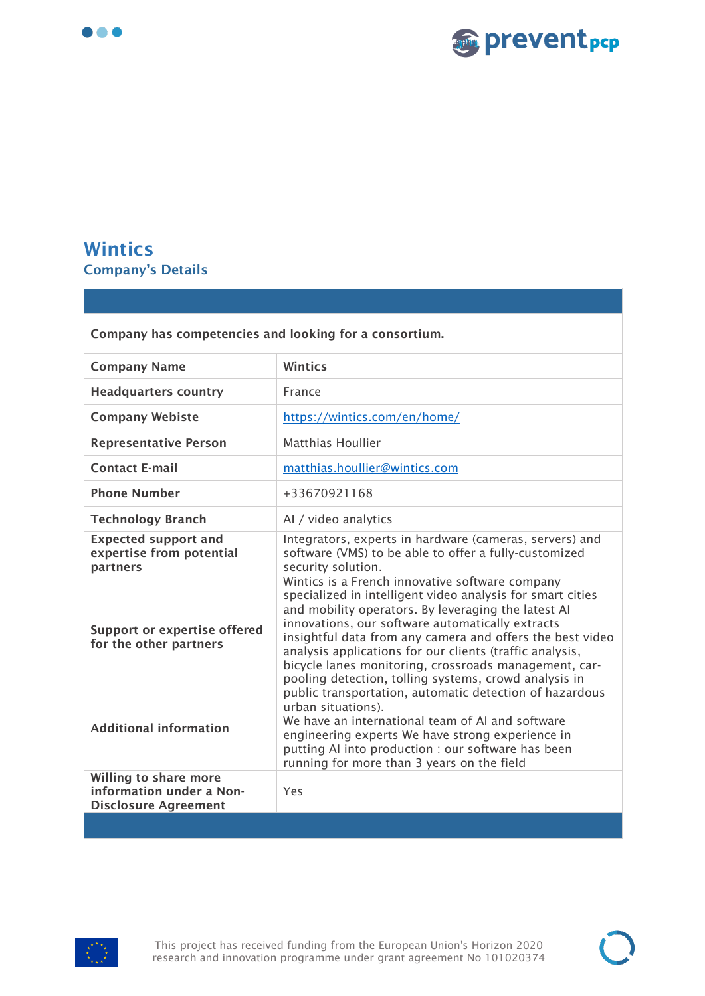



## <span id="page-14-0"></span>**Wintics Company's Details**

| <b>Wintics</b><br><b>Company Name</b><br><b>Headquarters country</b><br>France<br>https://wintics.com/en/home/<br><b>Company Webiste</b><br>Matthias Houllier<br><b>Representative Person</b><br><b>Contact E-mail</b><br>matthias.houllier@wintics.com<br><b>Phone Number</b>                                                                                                                                                                                                                                                                                                                                        |  |
|-----------------------------------------------------------------------------------------------------------------------------------------------------------------------------------------------------------------------------------------------------------------------------------------------------------------------------------------------------------------------------------------------------------------------------------------------------------------------------------------------------------------------------------------------------------------------------------------------------------------------|--|
|                                                                                                                                                                                                                                                                                                                                                                                                                                                                                                                                                                                                                       |  |
|                                                                                                                                                                                                                                                                                                                                                                                                                                                                                                                                                                                                                       |  |
|                                                                                                                                                                                                                                                                                                                                                                                                                                                                                                                                                                                                                       |  |
|                                                                                                                                                                                                                                                                                                                                                                                                                                                                                                                                                                                                                       |  |
|                                                                                                                                                                                                                                                                                                                                                                                                                                                                                                                                                                                                                       |  |
| +33670921168                                                                                                                                                                                                                                                                                                                                                                                                                                                                                                                                                                                                          |  |
| <b>Technology Branch</b><br>Al / video analytics                                                                                                                                                                                                                                                                                                                                                                                                                                                                                                                                                                      |  |
| Integrators, experts in hardware (cameras, servers) and<br><b>Expected support and</b><br>expertise from potential<br>software (VMS) to be able to offer a fully-customized<br>security solution.<br>partners                                                                                                                                                                                                                                                                                                                                                                                                         |  |
| Wintics is a French innovative software company<br>specialized in intelligent video analysis for smart cities<br>and mobility operators. By leveraging the latest AI<br>innovations, our software automatically extracts<br><b>Support or expertise offered</b><br>insightful data from any camera and offers the best video<br>for the other partners<br>analysis applications for our clients (traffic analysis,<br>bicycle lanes monitoring, crossroads management, car-<br>pooling detection, tolling systems, crowd analysis in<br>public transportation, automatic detection of hazardous<br>urban situations). |  |
| We have an international team of AI and software<br><b>Additional information</b><br>engineering experts We have strong experience in<br>putting AI into production : our software has been<br>running for more than 3 years on the field                                                                                                                                                                                                                                                                                                                                                                             |  |
| Willing to share more<br>information under a Non-<br>Yes<br><b>Disclosure Agreement</b>                                                                                                                                                                                                                                                                                                                                                                                                                                                                                                                               |  |

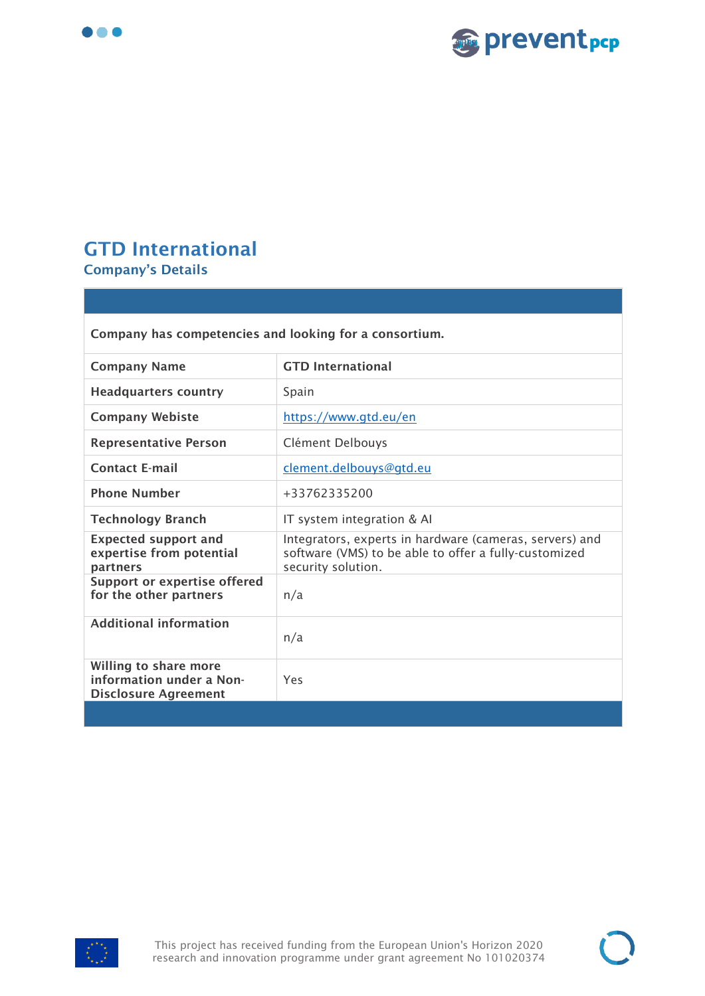



#### <span id="page-15-0"></span>**GTD International Company's Details**

**Disclosure Agreement**

**Company has competencies and looking for a consortium. Company Name GTD International Headquarters country** Spain **Company Webiste** <https://www.gtd.eu/en> **Representative Person** Clément Delbouys **Contact E-mail** [clement.delbouys@gtd.eu](mailto:clement.delbouys@gtd.eu) **Phone Number**  $+33762335200$ **Technology Branch IT system integration & AI Expected support and expertise from potential partners**  Integrators, experts in hardware (cameras, servers) and software (VMS) to be able to offer a fully-customized security solution. **Support or expertise offered for the other partners**  $n/a$ **Additional information** n/a **Willing to share more information under a Non-**Yes

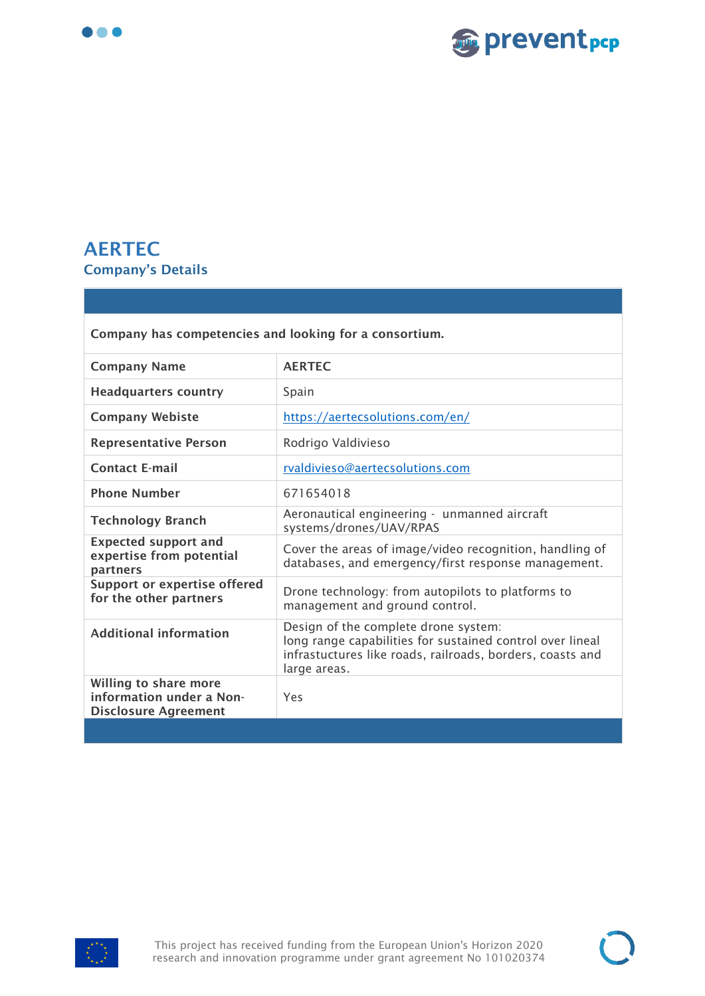



#### <span id="page-16-0"></span>**AERTEC Company's Details**

| Company has competencies and looking for a consortium.                           |                                                                                                                                                                                |
|----------------------------------------------------------------------------------|--------------------------------------------------------------------------------------------------------------------------------------------------------------------------------|
| <b>Company Name</b>                                                              | <b>AERTEC</b>                                                                                                                                                                  |
| <b>Headquarters country</b>                                                      | Spain                                                                                                                                                                          |
| <b>Company Webiste</b>                                                           | https://aertecsolutions.com/en/                                                                                                                                                |
| <b>Representative Person</b>                                                     | Rodrigo Valdivieso                                                                                                                                                             |
| <b>Contact E-mail</b>                                                            | rvaldivieso@aertecsolutions.com                                                                                                                                                |
| <b>Phone Number</b>                                                              | 671654018                                                                                                                                                                      |
| <b>Technology Branch</b>                                                         | Aeronautical engineering - unmanned aircraft<br>systems/drones/UAV/RPAS                                                                                                        |
| <b>Expected support and</b><br>expertise from potential<br>partners              | Cover the areas of image/video recognition, handling of<br>databases, and emergency/first response management.                                                                 |
| <b>Support or expertise offered</b><br>for the other partners                    | Drone technology: from autopilots to platforms to<br>management and ground control.                                                                                            |
| <b>Additional information</b>                                                    | Design of the complete drone system:<br>long range capabilities for sustained control over lineal<br>infrastuctures like roads, railroads, borders, coasts and<br>large areas. |
| Willing to share more<br>information under a Non-<br><b>Disclosure Agreement</b> | Yes                                                                                                                                                                            |
|                                                                                  |                                                                                                                                                                                |

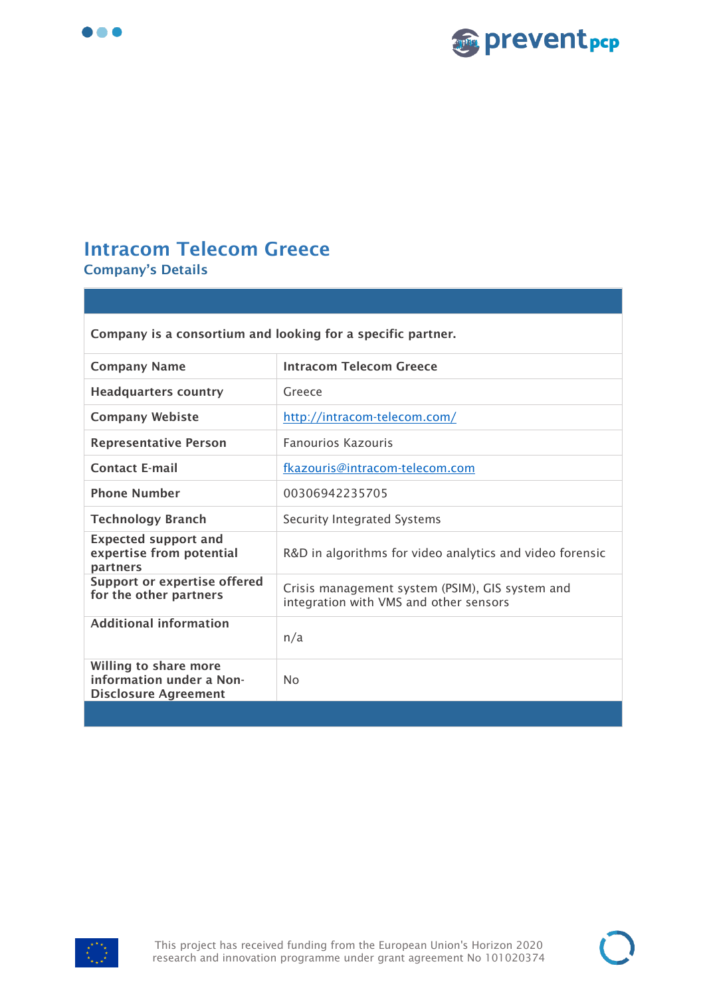



#### <span id="page-17-0"></span>**Intracom Telecom Greece Company's Details**

| Company is a consortium and looking for a specific partner.                      |                                                                                           |
|----------------------------------------------------------------------------------|-------------------------------------------------------------------------------------------|
| <b>Company Name</b>                                                              | <b>Intracom Telecom Greece</b>                                                            |
| <b>Headquarters country</b>                                                      | Greece                                                                                    |
| <b>Company Webiste</b>                                                           | http://intracom-telecom.com/                                                              |
| <b>Representative Person</b>                                                     | <b>Fanourios Kazouris</b>                                                                 |
| <b>Contact E-mail</b>                                                            | fkazouris@intracom-telecom.com                                                            |
| <b>Phone Number</b>                                                              | 00306942235705                                                                            |
| <b>Technology Branch</b>                                                         | <b>Security Integrated Systems</b>                                                        |
| <b>Expected support and</b><br>expertise from potential<br>partners              | R&D in algorithms for video analytics and video forensic                                  |
| <b>Support or expertise offered</b><br>for the other partners                    | Crisis management system (PSIM), GIS system and<br>integration with VMS and other sensors |
| <b>Additional information</b>                                                    | n/a                                                                                       |
| Willing to share more<br>information under a Non-<br><b>Disclosure Agreement</b> | <b>No</b>                                                                                 |
|                                                                                  |                                                                                           |

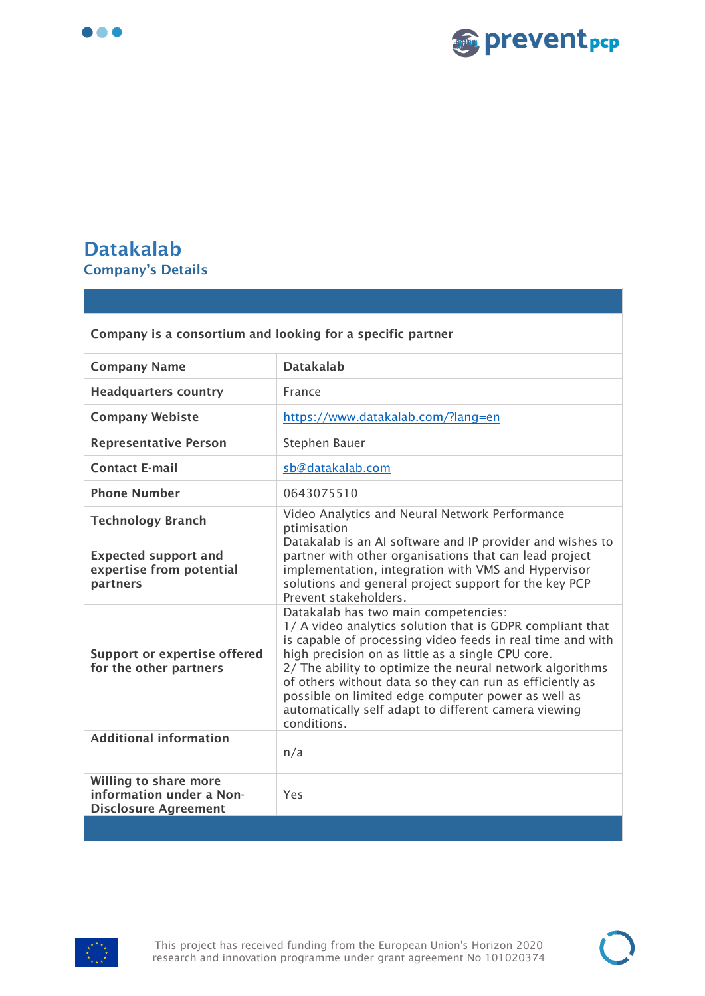



#### <span id="page-18-0"></span>**Datakalab Company's Details**

| Company is a consortium and looking for a specific partner                       |                                                                                                                                                                                                                                                                                                                                                                                                                                                                           |
|----------------------------------------------------------------------------------|---------------------------------------------------------------------------------------------------------------------------------------------------------------------------------------------------------------------------------------------------------------------------------------------------------------------------------------------------------------------------------------------------------------------------------------------------------------------------|
| <b>Company Name</b>                                                              | <b>Datakalab</b>                                                                                                                                                                                                                                                                                                                                                                                                                                                          |
| <b>Headquarters country</b>                                                      | France                                                                                                                                                                                                                                                                                                                                                                                                                                                                    |
| <b>Company Webiste</b>                                                           | https://www.datakalab.com/?lang=en                                                                                                                                                                                                                                                                                                                                                                                                                                        |
| <b>Representative Person</b>                                                     | Stephen Bauer                                                                                                                                                                                                                                                                                                                                                                                                                                                             |
| <b>Contact E-mail</b>                                                            | sb@datakalab.com                                                                                                                                                                                                                                                                                                                                                                                                                                                          |
| <b>Phone Number</b>                                                              | 0643075510                                                                                                                                                                                                                                                                                                                                                                                                                                                                |
| <b>Technology Branch</b>                                                         | Video Analytics and Neural Network Performance<br>ptimisation                                                                                                                                                                                                                                                                                                                                                                                                             |
| <b>Expected support and</b><br>expertise from potential<br>partners              | Datakalab is an AI software and IP provider and wishes to<br>partner with other organisations that can lead project<br>implementation, integration with VMS and Hypervisor<br>solutions and general project support for the key PCP<br>Prevent stakeholders.                                                                                                                                                                                                              |
| <b>Support or expertise offered</b><br>for the other partners                    | Datakalab has two main competencies:<br>1/ A video analytics solution that is GDPR compliant that<br>is capable of processing video feeds in real time and with<br>high precision on as little as a single CPU core.<br>2/ The ability to optimize the neural network algorithms<br>of others without data so they can run as efficiently as<br>possible on limited edge computer power as well as<br>automatically self adapt to different camera viewing<br>conditions. |
| <b>Additional information</b>                                                    | n/a                                                                                                                                                                                                                                                                                                                                                                                                                                                                       |
| Willing to share more<br>information under a Non-<br><b>Disclosure Agreement</b> | Yes                                                                                                                                                                                                                                                                                                                                                                                                                                                                       |
|                                                                                  |                                                                                                                                                                                                                                                                                                                                                                                                                                                                           |

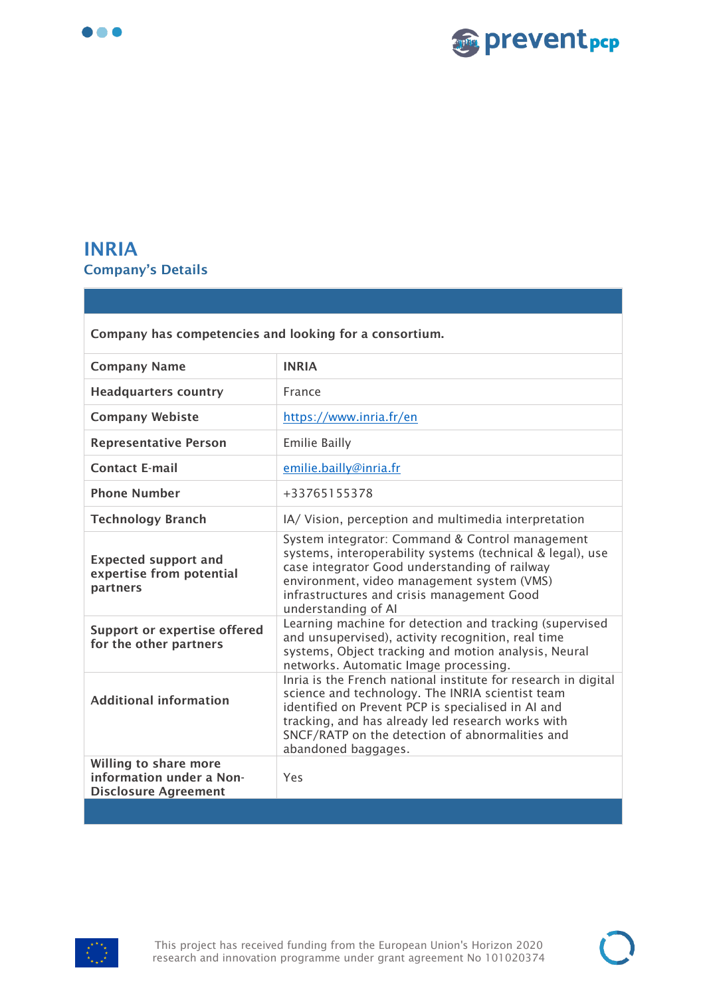



#### <span id="page-19-0"></span>**INRIA Company's Details**

| Company has competencies and looking for a consortium.                           |                                                                                                                                                                                                                                                                                                         |
|----------------------------------------------------------------------------------|---------------------------------------------------------------------------------------------------------------------------------------------------------------------------------------------------------------------------------------------------------------------------------------------------------|
| <b>Company Name</b>                                                              | <b>INRIA</b>                                                                                                                                                                                                                                                                                            |
| <b>Headquarters country</b>                                                      | France                                                                                                                                                                                                                                                                                                  |
| <b>Company Webiste</b>                                                           | https://www.inria.fr/en                                                                                                                                                                                                                                                                                 |
| <b>Representative Person</b>                                                     | <b>Emilie Bailly</b>                                                                                                                                                                                                                                                                                    |
| <b>Contact E-mail</b>                                                            | emilie.bailly@inria.fr                                                                                                                                                                                                                                                                                  |
| <b>Phone Number</b>                                                              | +33765155378                                                                                                                                                                                                                                                                                            |
| <b>Technology Branch</b>                                                         | IA/ Vision, perception and multimedia interpretation                                                                                                                                                                                                                                                    |
| <b>Expected support and</b><br>expertise from potential<br>partners              | System integrator: Command & Control management<br>systems, interoperability systems (technical & legal), use<br>case integrator Good understanding of railway<br>environment, video management system (VMS)<br>infrastructures and crisis management Good<br>understanding of Al                       |
| <b>Support or expertise offered</b><br>for the other partners                    | Learning machine for detection and tracking (supervised<br>and unsupervised), activity recognition, real time<br>systems, Object tracking and motion analysis, Neural<br>networks. Automatic Image processing.                                                                                          |
| <b>Additional information</b>                                                    | Inria is the French national institute for research in digital<br>science and technology. The INRIA scientist team<br>identified on Prevent PCP is specialised in AI and<br>tracking, and has already led research works with<br>SNCF/RATP on the detection of abnormalities and<br>abandoned baggages. |
| Willing to share more<br>information under a Non-<br><b>Disclosure Agreement</b> | Yes                                                                                                                                                                                                                                                                                                     |
|                                                                                  |                                                                                                                                                                                                                                                                                                         |

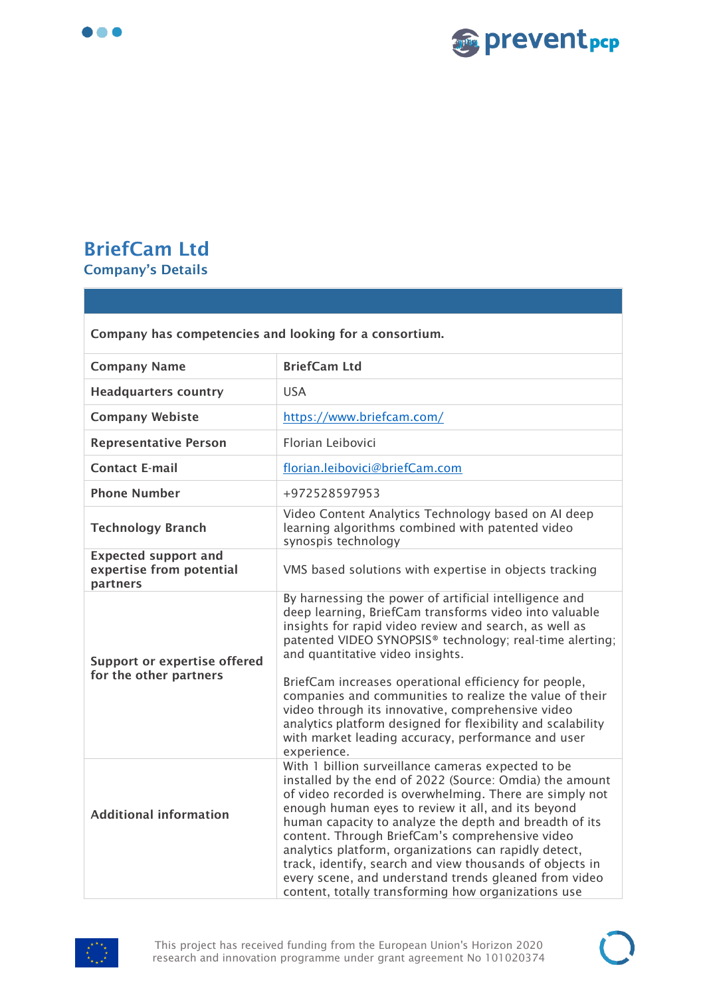



## <span id="page-20-0"></span>**BriefCam Ltd Company's Details**

| Company has competencies and looking for a consortium.              |                                                                                                                                                                                                                                                                                                                                                                                                                                                                                                                                                                                         |
|---------------------------------------------------------------------|-----------------------------------------------------------------------------------------------------------------------------------------------------------------------------------------------------------------------------------------------------------------------------------------------------------------------------------------------------------------------------------------------------------------------------------------------------------------------------------------------------------------------------------------------------------------------------------------|
| <b>Company Name</b>                                                 | <b>BriefCam Ltd</b>                                                                                                                                                                                                                                                                                                                                                                                                                                                                                                                                                                     |
| <b>Headquarters country</b>                                         | <b>USA</b>                                                                                                                                                                                                                                                                                                                                                                                                                                                                                                                                                                              |
| <b>Company Webiste</b>                                              | https://www.briefcam.com/                                                                                                                                                                                                                                                                                                                                                                                                                                                                                                                                                               |
| <b>Representative Person</b>                                        | Florian Leibovici                                                                                                                                                                                                                                                                                                                                                                                                                                                                                                                                                                       |
| <b>Contact E-mail</b>                                               | florian.leibovici@briefCam.com                                                                                                                                                                                                                                                                                                                                                                                                                                                                                                                                                          |
| <b>Phone Number</b>                                                 | +972528597953                                                                                                                                                                                                                                                                                                                                                                                                                                                                                                                                                                           |
| <b>Technology Branch</b>                                            | Video Content Analytics Technology based on AI deep<br>learning algorithms combined with patented video<br>synospis technology                                                                                                                                                                                                                                                                                                                                                                                                                                                          |
| <b>Expected support and</b><br>expertise from potential<br>partners | VMS based solutions with expertise in objects tracking                                                                                                                                                                                                                                                                                                                                                                                                                                                                                                                                  |
| <b>Support or expertise offered</b><br>for the other partners       | By harnessing the power of artificial intelligence and<br>deep learning, BriefCam transforms video into valuable<br>insights for rapid video review and search, as well as<br>patented VIDEO SYNOPSIS® technology; real-time alerting;<br>and quantitative video insights.<br>BriefCam increases operational efficiency for people,<br>companies and communities to realize the value of their<br>video through its innovative, comprehensive video<br>analytics platform designed for flexibility and scalability<br>with market leading accuracy, performance and user<br>experience. |
| <b>Additional information</b>                                       | With 1 billion surveillance cameras expected to be<br>installed by the end of 2022 (Source: Omdia) the amount<br>of video recorded is overwhelming. There are simply not<br>enough human eyes to review it all, and its beyond<br>human capacity to analyze the depth and breadth of its<br>content. Through BriefCam's comprehensive video<br>analytics platform, organizations can rapidly detect,<br>track, identify, search and view thousands of objects in<br>every scene, and understand trends gleaned from video<br>content, totally transforming how organizations use        |



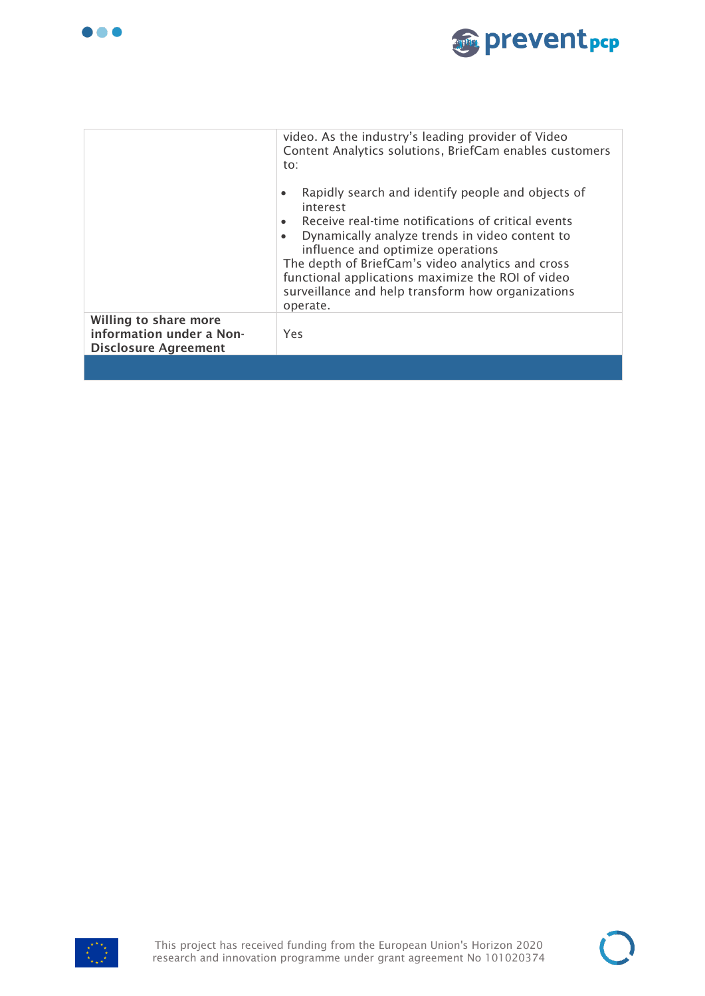



|                                                                                  | video. As the industry's leading provider of Video<br>Content Analytics solutions, BriefCam enables customers<br>to:                                                                                                                                                                                                                                                                                |
|----------------------------------------------------------------------------------|-----------------------------------------------------------------------------------------------------------------------------------------------------------------------------------------------------------------------------------------------------------------------------------------------------------------------------------------------------------------------------------------------------|
|                                                                                  | Rapidly search and identify people and objects of<br>$\bullet$<br>interest<br>Receive real-time notifications of critical events<br>Dynamically analyze trends in video content to<br>$\bullet$<br>influence and optimize operations<br>The depth of BriefCam's video analytics and cross<br>functional applications maximize the ROI of video<br>surveillance and help transform how organizations |
|                                                                                  | operate.                                                                                                                                                                                                                                                                                                                                                                                            |
| Willing to share more<br>information under a Non-<br><b>Disclosure Agreement</b> | Yes                                                                                                                                                                                                                                                                                                                                                                                                 |
|                                                                                  |                                                                                                                                                                                                                                                                                                                                                                                                     |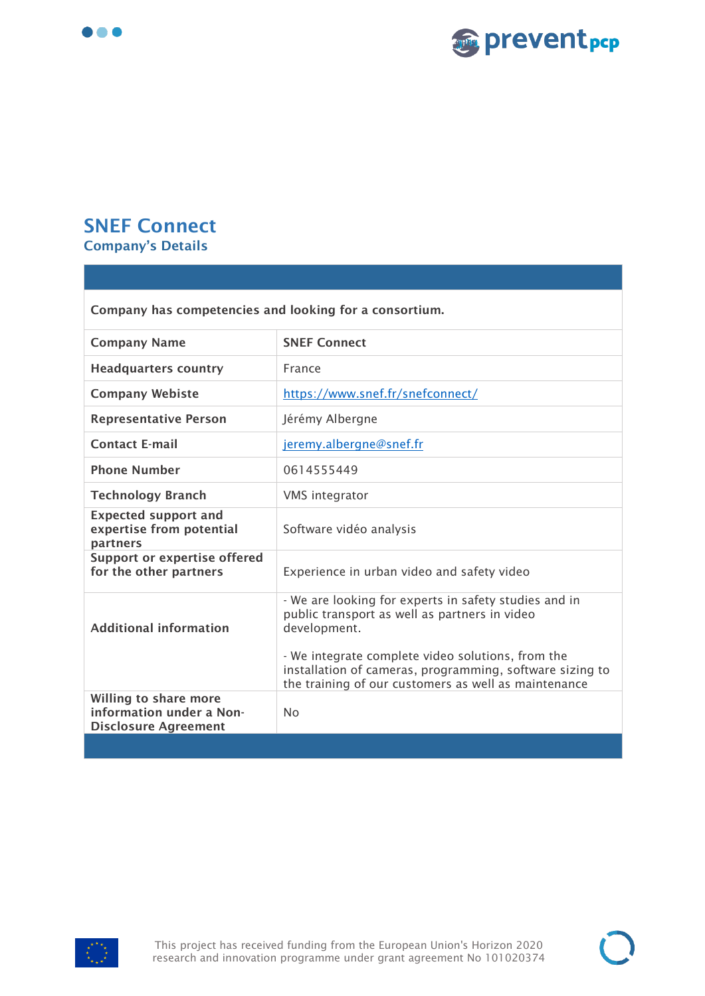



## <span id="page-22-0"></span>**SNEF Connect**

**Company's Details** 

| Company has competencies and looking for a consortium.                           |                                                                                                                                                                                                                                                                                                 |
|----------------------------------------------------------------------------------|-------------------------------------------------------------------------------------------------------------------------------------------------------------------------------------------------------------------------------------------------------------------------------------------------|
| <b>Company Name</b>                                                              | <b>SNEF Connect</b>                                                                                                                                                                                                                                                                             |
| <b>Headquarters country</b>                                                      | France                                                                                                                                                                                                                                                                                          |
| <b>Company Webiste</b>                                                           | https://www.snef.fr/snefconnect/                                                                                                                                                                                                                                                                |
| <b>Representative Person</b>                                                     | Jérémy Albergne                                                                                                                                                                                                                                                                                 |
| <b>Contact E-mail</b>                                                            | jeremy.albergne@snef.fr                                                                                                                                                                                                                                                                         |
| <b>Phone Number</b>                                                              | 0614555449                                                                                                                                                                                                                                                                                      |
| <b>Technology Branch</b>                                                         | VMS integrator                                                                                                                                                                                                                                                                                  |
| <b>Expected support and</b><br>expertise from potential<br>partners              | Software vidéo analysis                                                                                                                                                                                                                                                                         |
| <b>Support or expertise offered</b><br>for the other partners                    | Experience in urban video and safety video                                                                                                                                                                                                                                                      |
| <b>Additional information</b>                                                    | - We are looking for experts in safety studies and in<br>public transport as well as partners in video<br>development.<br>- We integrate complete video solutions, from the<br>installation of cameras, programming, software sizing to<br>the training of our customers as well as maintenance |
| Willing to share more<br>information under a Non-<br><b>Disclosure Agreement</b> | <b>No</b>                                                                                                                                                                                                                                                                                       |